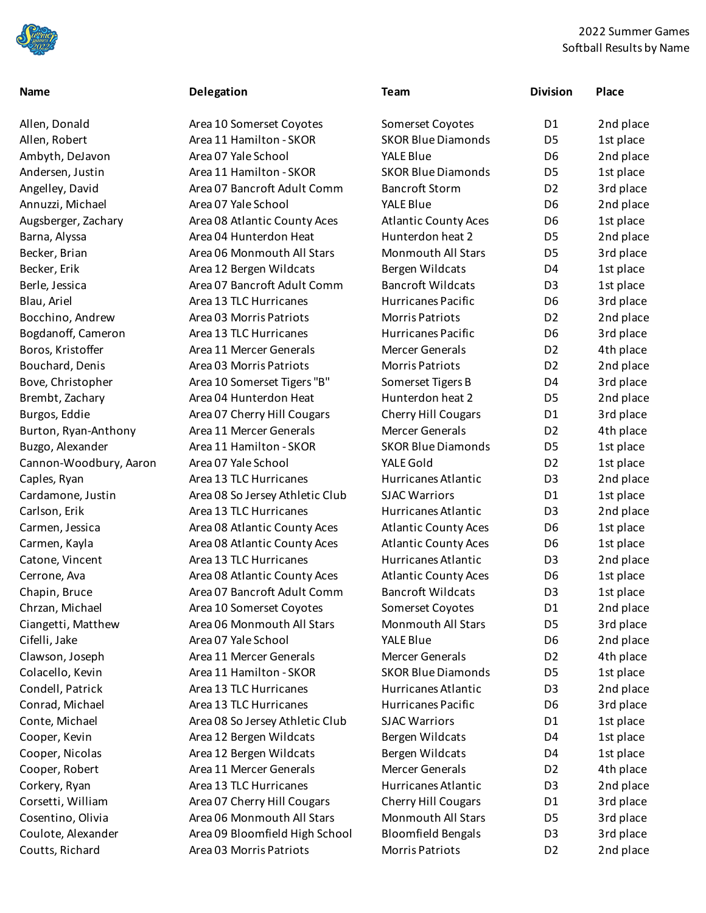

## 2022 Summer Games Softball Results by Name

## Allen, Donald **Area 10 Somerset Coyotes** Allen, Robert **Area 11 Hamilton - SKOR** Andersen, Justin Area 11 Hamilton - SKOR Angelley, David Area 07 Bancroft Adult Comm Augsberger, Zachary **Area 08 Atlantic County Aces** Barna, Alyssa **Area 04 Hunterdon Heat** Area 04 Hunterdon Heat Becker, Brian Area 06 Monmouth All Stars Monmouth All Stars Becker, Erik **Area 12 Bergen Wildcats** Berle, Jessica **Area 07 Bancroft Adult Comm** Blau, Ariel **Area 13 TLC Hurricanes** Area 13 TLC Hurricanes Bocchino, Andrew Area 03 Morris Patriots Bogdanoff, Cameron Area 13 TLC Hurricanes Boros, Kristoffer Area 11 Mercer Generals Bouchard, Denis Area 03 Morris Patriots Bove, Christopher Area 10 Somerset Tigers "B" Brembt, Zachary **Area 04 Hunterdon Heat** Burgos, Eddie **Area 07 Cherry Hill Cougars** Area 07 Cherry Hill Cougars Burton, Ryan-Anthony Area 11 Mercer Generals Buzgo, Alexander Area 11 Hamilton - SKOR Caples, Ryan Area 13 TLC Hurricanes Cardamone, Justin Area 08 So Jersey Athletic Club Carlson, Erik Area 13 TLC Hurricanes Carmen, Jessica Area 08 Atlantic County Aces Carmen, Kayla **Area 08 Atlantic County Aces** Area 08 Atlantic County Aces Catone, Vincent **Area 13 TLC Hurricanes** Area 13 Atlantic Purric D<sub>3</sub> 2nd places Area 13 TLC Hurricanes Cerrone, Ava Area 08 Atlantic County Aces Chapin, Bruce **Area 07 Bancroft Adult Comm** Chrzan, Michael **Area 10 Somerset Coyotes** Ciangetti, Matthew Area 06 Monmouth All Stars Clawson, Joseph Area 11 Mercer Generals Colacello, Kevin Area 11 Hamilton - SKOR Condell, Patrick Area 13 TLC Hurricanes Conrad, Michael Area 13 TLC Hurricanes Conte, Michael Area 08 So Jersey Athletic Club Cooper, Kevin **Area 12 Bergen Wildcats** Bergen Wildcats Cooper, Nicolas Area 12 Bergen Wildcats Cooper, Robert Area 11 Mercer Generals Corkery, Ryan Area 13 TLC Hurricanes Corsetti, William Area 07 Cherry Hill Cougars Cosentino, Olivia Area 06 Monmouth All Stars Coulote, Alexander Area 09 Bloomfield High School

| <b>Name</b>            | Delegation                      | <b>Team</b>                 | <b>Division</b> | Place     |
|------------------------|---------------------------------|-----------------------------|-----------------|-----------|
| Allen, Donald          | Area 10 Somerset Coyotes        | Somerset Coyotes            | D1              | 2nd place |
| Allen, Robert          | Area 11 Hamilton - SKOR         | <b>SKOR Blue Diamonds</b>   | D <sub>5</sub>  | 1st place |
| Ambyth, DeJavon        | Area 07 Yale School             | YALE Blue                   | D <sub>6</sub>  | 2nd place |
| Andersen, Justin       | Area 11 Hamilton - SKOR         | <b>SKOR Blue Diamonds</b>   | D <sub>5</sub>  | 1st place |
| Angelley, David        | Area 07 Bancroft Adult Comm     | <b>Bancroft Storm</b>       | D <sub>2</sub>  | 3rd place |
| Annuzzi, Michael       | Area 07 Yale School             | <b>YALE Blue</b>            | D <sub>6</sub>  | 2nd place |
| Augsberger, Zachary    | Area 08 Atlantic County Aces    | <b>Atlantic County Aces</b> | D <sub>6</sub>  | 1st place |
| Barna, Alyssa          | Area 04 Hunterdon Heat          | Hunterdon heat 2            | D <sub>5</sub>  | 2nd place |
| Becker, Brian          | Area 06 Monmouth All Stars      | <b>Monmouth All Stars</b>   | D <sub>5</sub>  | 3rd place |
| Becker, Erik           | Area 12 Bergen Wildcats         | Bergen Wildcats             | D4              | 1st place |
| Berle, Jessica         | Area 07 Bancroft Adult Comm     | <b>Bancroft Wildcats</b>    | D <sub>3</sub>  | 1st place |
| Blau, Ariel            | Area 13 TLC Hurricanes          | Hurricanes Pacific          | D <sub>6</sub>  | 3rd place |
| Bocchino, Andrew       | Area 03 Morris Patriots         | <b>Morris Patriots</b>      | D <sub>2</sub>  | 2nd place |
| Bogdanoff, Cameron     | Area 13 TLC Hurricanes          | Hurricanes Pacific          | D <sub>6</sub>  | 3rd place |
| Boros, Kristoffer      | Area 11 Mercer Generals         | Mercer Generals             | D <sub>2</sub>  | 4th place |
| Bouchard, Denis        | Area 03 Morris Patriots         | <b>Morris Patriots</b>      | D <sub>2</sub>  | 2nd place |
| Bove, Christopher      | Area 10 Somerset Tigers "B"     | Somerset Tigers B           | D4              | 3rd place |
| Brembt, Zachary        | Area 04 Hunterdon Heat          | Hunterdon heat 2            | D <sub>5</sub>  | 2nd place |
| Burgos, Eddie          | Area 07 Cherry Hill Cougars     | <b>Cherry Hill Cougars</b>  | D <sub>1</sub>  | 3rd place |
| Burton, Ryan-Anthony   | Area 11 Mercer Generals         | <b>Mercer Generals</b>      | D <sub>2</sub>  | 4th place |
| Buzgo, Alexander       | Area 11 Hamilton - SKOR         | <b>SKOR Blue Diamonds</b>   | D <sub>5</sub>  | 1st place |
| Cannon-Woodbury, Aaron | Area 07 Yale School             | YALE Gold                   | D <sub>2</sub>  | 1st place |
| Caples, Ryan           | Area 13 TLC Hurricanes          | Hurricanes Atlantic         | D <sub>3</sub>  | 2nd place |
| Cardamone, Justin      | Area 08 So Jersey Athletic Club | <b>SJAC Warriors</b>        | D <sub>1</sub>  | 1st place |
| Carlson, Erik          | Area 13 TLC Hurricanes          | Hurricanes Atlantic         | D <sub>3</sub>  | 2nd place |
| Carmen, Jessica        | Area 08 Atlantic County Aces    | <b>Atlantic County Aces</b> | D <sub>6</sub>  | 1st place |
| Carmen, Kayla          | Area 08 Atlantic County Aces    | <b>Atlantic County Aces</b> | D <sub>6</sub>  | 1st place |
| Catone, Vincent        | Area 13 TLC Hurricanes          | Hurricanes Atlantic         | D <sub>3</sub>  | 2nd place |
| Cerrone, Ava           | Area 08 Atlantic County Aces    | <b>Atlantic County Aces</b> | D <sub>6</sub>  | 1st place |
| Chapin, Bruce          | Area 07 Bancroft Adult Comm     | <b>Bancroft Wildcats</b>    | D <sub>3</sub>  | 1st place |
| Chrzan, Michael        | Area 10 Somerset Coyotes        | Somerset Coyotes            | D1              | 2nd place |
| Ciangetti, Matthew     | Area 06 Monmouth All Stars      | <b>Monmouth All Stars</b>   | D <sub>5</sub>  | 3rd place |
| Cifelli, Jake          | Area 07 Yale School             | <b>YALE Blue</b>            | D6              | 2nd place |
| Clawson, Joseph        | Area 11 Mercer Generals         | <b>Mercer Generals</b>      | D <sub>2</sub>  | 4th place |
| Colacello, Kevin       | Area 11 Hamilton - SKOR         | <b>SKOR Blue Diamonds</b>   | D <sub>5</sub>  | 1st place |
| Condell, Patrick       | Area 13 TLC Hurricanes          | Hurricanes Atlantic         | D <sub>3</sub>  | 2nd place |
| Conrad, Michael        | Area 13 TLC Hurricanes          | Hurricanes Pacific          | D <sub>6</sub>  | 3rd place |
| Conte, Michael         | Area 08 So Jersey Athletic Club | <b>SJAC Warriors</b>        | D1              | 1st place |
| Cooper, Kevin          | Area 12 Bergen Wildcats         | Bergen Wildcats             | D4              | 1st place |
| Cooper, Nicolas        | Area 12 Bergen Wildcats         | Bergen Wildcats             | D4              | 1st place |
| Cooper, Robert         | Area 11 Mercer Generals         | <b>Mercer Generals</b>      | D <sub>2</sub>  | 4th place |
| Corkery, Ryan          | Area 13 TLC Hurricanes          | Hurricanes Atlantic         | D <sub>3</sub>  | 2nd place |
| Corsetti, William      | Area 07 Cherry Hill Cougars     | <b>Cherry Hill Cougars</b>  | D <sub>1</sub>  | 3rd place |
| Cosentino, Olivia      | Area 06 Monmouth All Stars      | <b>Monmouth All Stars</b>   | D <sub>5</sub>  | 3rd place |
| Coulote, Alexander     | Area 09 Bloomfield High School  | <b>Bloomfield Bengals</b>   | D <sub>3</sub>  | 3rd place |
| Coutts, Richard        | Area 03 Morris Patriots         | Morris Patriots             | D <sub>2</sub>  | 2nd place |
|                        |                                 |                             |                 |           |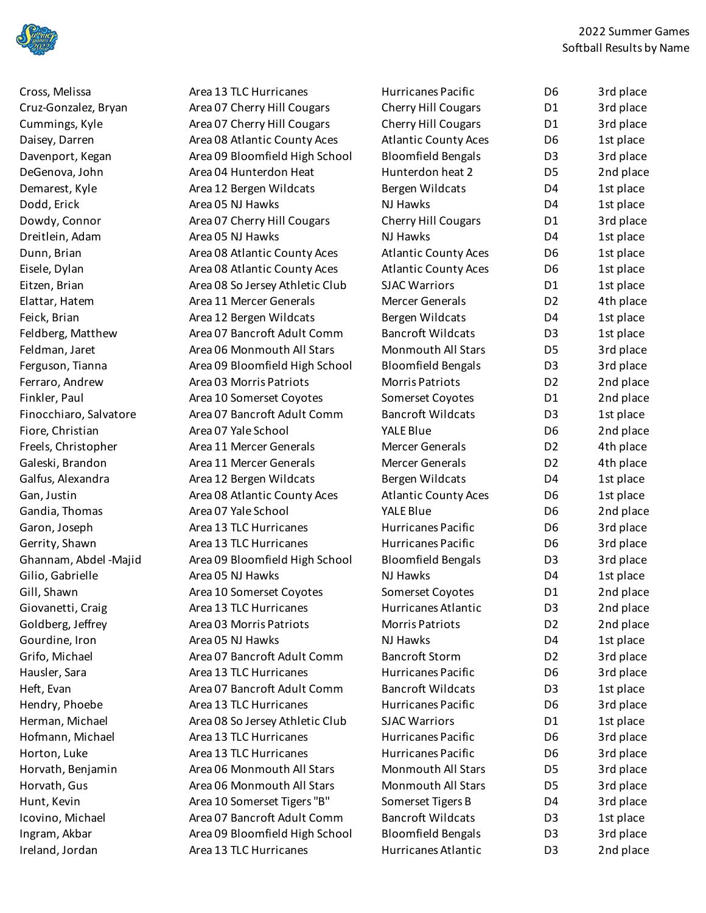

Dodd, Erick Area 05 NJ Hawks Dreitlein, Adam Area 05 NJ Hawks Fiore, Christian Area 07 Yale School Gandia, Thomas Area 07 Yale School Gilio, Gabrielle Area 05 NJ Hawks Gourdine, Iron Area 05 NJ Hawks Ireland, Jordan Area 13 TLC Hurricanes

Cross, Melissa **Area 13 TLC Hurricanes** Area 13 Cruz-Gonzalez, Bryan Area 07 Cherry Hill Cougars Cummings, Kyle Area 07 Cherry Hill Cougars Daisey, Darren Area 08 Atlantic County Aces Davenport, Kegan Area 09 Bloomfield High School DeGenova, John Area 04 Hunterdon Heat Demarest, Kyle **Area 12 Bergen Wildcats** Dowdy, Connor Area 07 Cherry Hill Cougars Dunn, Brian **Area 08 Atlantic County Aces** Area 08 Atlantic County Aces Eisele, Dylan Area 08 Atlantic County Aces Eitzen, Brian Area 08 So Jersey Athletic Club Elattar, Hatem Area 11 Mercer Generals Feick, Brian **Area 12 Bergen Wildcats** Bergen Wildcats Feldberg, Matthew Area 07 Bancroft Adult Comm Feldman, Jaret Area 06 Monmouth All Stars Ferguson, Tianna Area 09 Bloomfield High School Ferraro, Andrew Area 03 Morris Patriots Finkler, Paul **Area 10 Somerset Coyotes** Area 10 Somerset Coyotes Finocchiaro, Salvatore Area 07 Bancroft Adult Comm Freels, Christopher Area 11 Mercer Generals Galeski, Brandon Area 11 Mercer Generals Galfus, Alexandra **Area 12 Bergen Wildcats** Gan, Justin Area 08 Atlantic County Aces Garon, Joseph Area 13 TLC Hurricanes Gerrity, Shawn Area 13 TLC Hurricanes Ghannam, Abdel -Majid Area 09 Bloomfield High School Gill, Shawn **Area 10 Somerset Coyotes** Area 20 Somerset Coyotes Giovanetti, Craig Area 13 TLC Hurricanes Goldberg, Jeffrey **Area 03 Morris Patriots** D2 2nd places Grifo, Michael **Area 07 Bancroft Adult Comm** Hausler, Sara **Area 13 TLC Hurricanes** Area 13 TLC Hurricanes Heft, Evan **Area 07 Bancroft Adult Comm** Hendry, Phoebe Area 13 TLC Hurricanes Herman, Michael Area 08 So Jersey Athletic Club Hofmann, Michael Area 13 TLC Hurricanes Horton, Luke Area 13 TLC Hurricanes Horvath, Benjamin Area 06 Monmouth All Stars Horvath, Gus Area 06 Monmouth All Stars Montangle 2015 Hunt, Kevin **Area 10 Somerset Tigers "B"** Area 10 Somerset Tigers "B" Icovino, Michael **Area 07 Bancroft Adult Comm** Ingram, Akbar Area 09 Bloomfield High School

| Hurricanes Pacific          | D6             | 3rd place |
|-----------------------------|----------------|-----------|
| <b>Cherry Hill Cougars</b>  | D <sub>1</sub> | 3rd place |
| Cherry Hill Cougars         | D1             | 3rd place |
| <b>Atlantic County Aces</b> | D <sub>6</sub> | 1st place |
| <b>Bloomfield Bengals</b>   | D <sub>3</sub> | 3rd place |
| Hunterdon heat 2            | D <sub>5</sub> | 2nd place |
| Bergen Wildcats             | D <sub>4</sub> | 1st place |
| NJ Hawks                    | D <sub>4</sub> | 1st place |
| <b>Cherry Hill Cougars</b>  | D <sub>1</sub> | 3rd place |
| <b>NJ Hawks</b>             | D <sub>4</sub> | 1st place |
| <b>Atlantic County Aces</b> | D <sub>6</sub> | 1st place |
| <b>Atlantic County Aces</b> | D <sub>6</sub> | 1st place |
| <b>SJAC Warriors</b>        | D <sub>1</sub> | 1st place |
| <b>Mercer Generals</b>      | D <sub>2</sub> | 4th place |
| Bergen Wildcats             | D4             | 1st place |
| <b>Bancroft Wildcats</b>    | D <sub>3</sub> | 1st place |
| <b>Monmouth All Stars</b>   | D <sub>5</sub> | 3rd place |
| <b>Bloomfield Bengals</b>   | D <sub>3</sub> | 3rd place |
| <b>Morris Patriots</b>      | D <sub>2</sub> | 2nd place |
| Somerset Coyotes            | D <sub>1</sub> | 2nd place |
| <b>Bancroft Wildcats</b>    | D <sub>3</sub> | 1st place |
| <b>YALE Blue</b>            | D <sub>6</sub> | 2nd place |
| <b>Mercer Generals</b>      | D <sub>2</sub> | 4th place |
| Mercer Generals             | D <sub>2</sub> | 4th place |
| Bergen Wildcats             | D4             | 1st place |
| <b>Atlantic County Aces</b> | D <sub>6</sub> | 1st place |
| <b>YALE Blue</b>            | D <sub>6</sub> | 2nd place |
| Hurricanes Pacific          | D <sub>6</sub> | 3rd place |
| Hurricanes Pacific          | D <sub>6</sub> | 3rd place |
| <b>Bloomfield Bengals</b>   | D <sub>3</sub> | 3rd place |
| <b>NJ Hawks</b>             | D4             | 1st place |
| Somerset Coyotes            | D <sub>1</sub> | 2nd place |
| Hurricanes Atlantic         | D3             | 2nd place |
| <b>Morris Patriots</b>      | D <sub>2</sub> | 2nd place |
| <b>NJ Hawks</b>             | D4             | 1st place |
| <b>Bancroft Storm</b>       | D <sub>2</sub> | 3rd place |
| Hurricanes Pacific          | D <sub>6</sub> | 3rd place |
| <b>Bancroft Wildcats</b>    | D <sub>3</sub> | 1st place |
| Hurricanes Pacific          | D <sub>6</sub> | 3rd place |
| <b>SJAC Warriors</b>        | D <sub>1</sub> | 1st place |
| Hurricanes Pacific          | D <sub>6</sub> | 3rd place |
| Hurricanes Pacific          | D <sub>6</sub> | 3rd place |
| <b>Monmouth All Stars</b>   | D <sub>5</sub> | 3rd place |
| <b>Monmouth All Stars</b>   | D <sub>5</sub> | 3rd place |
| Somerset Tigers B           | D4             | 3rd place |
| <b>Bancroft Wildcats</b>    | D <sub>3</sub> | 1st place |
| <b>Bloomfield Bengals</b>   | D <sub>3</sub> | 3rd place |
| Hurricanes Atlantic         | D <sub>3</sub> | 2nd place |
|                             |                |           |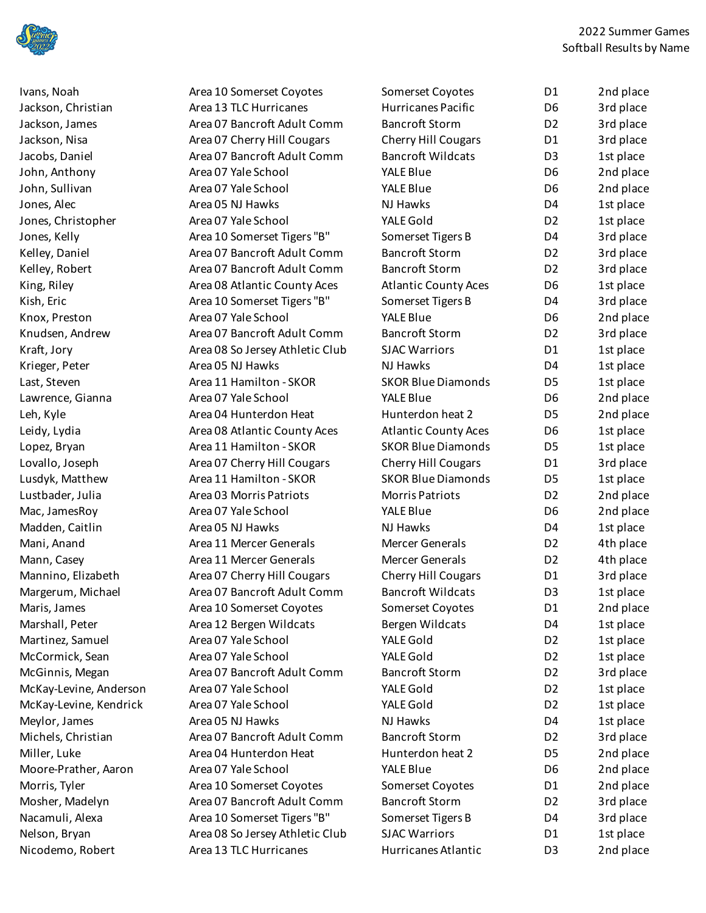

2022 Summer Games Softball Results by Name

Jackson, Christian Area 13 TLC Hurricanes John, Anthony Area 07 Yale School John, Sullivan Area 07 Yale School Jones, Alec **Area 05 NJ Hawks** Area 05 NJ Hawks Jones, Christopher Area 07 Yale School Knox, Preston Area 07 Yale School Krieger, Peter Area 05 NJ Hawks Lawrence, Gianna Area 07 Yale School Lustbader, Julia Area 03 Morris Patriots Mac, JamesRoy Area 07 Yale School Madden, Caitlin Area 05 NJ Hawks Martinez, Samuel Area 07 Yale School McCormick, Sean Area 07 Yale School McKay-Levine, Anderson Area 07 Yale School McKay-Levine, Kendrick Area 07 Yale School Meylor, James Area 05 NJ Hawks Moore-Prather, Aaron Area 07 Yale School Nicodemo, Robert Area 13 TLC Hurricanes

Ivans, Noah **Area 10 Somerset Coyotes** Area 20 Somerset Coyotes Jackson, James **Area 07 Bancroft Adult Comm** Jackson, Nisa **Area 07 Cherry Hill Cougars** Cherry Hill Cougars Jacobs, Daniel **Area 07 Bancroft Adult Comm** Jones, Kelly Area 10 Somerset Tigers "B" Kelley, Daniel **Area 07 Bancroft Adult Comm** Kelley, Robert **Area 07 Bancroft Adult Comm** King, Riley **Area 08 Atlantic County Aces** Area 08 Atlantic County Aces Kish, Eric **Area 10 Somerset Tigers "B"** Somerset Tigers "B" Knudsen, Andrew Area 07 Bancroft Adult Comm Kraft, Jory **Area 08 So Jersey Athletic Club** Last, Steven Area 11 Hamilton - SKOR Leh, Kyle **Area 04 Hunterdon Heat** Area 04 Hunterdon Heat Leidy, Lydia **Area 08 Atlantic County Aces** Area 08 Atlantic County Aces Lopez, Bryan **Area 11 Hamilton - SKOR** Lovallo, Joseph Area 07 Cherry Hill Cougars Lusdyk, Matthew **Area 11 Hamilton - SKOR** Mani, Anand **Area 11 Mercer Generals** Mani, Anand Mann, Casey **Area 11 Mercer Generals** Menus Mannino, Elizabeth Area 07 Cherry Hill Cougars Margerum, Michael **Area 07 Bancroft Adult Comm** Maris, James **Area 10 Somerset Coyotes** Area 2nd Somerset Coyotes Marshall, Peter Area 12 Bergen Wildcats McGinnis, Megan Area 07 Bancroft Adult Comm Michels, Christian Area 07 Bancroft Adult Comm Miller, Luke Area 04 Hunterdon Heat Morris, Tyler **Area 10 Somerset Coyotes** Area 20 Somerset Coyotes Mosher, Madelyn Area 07 Bancroft Adult Comm Nacamuli, Alexa Area 10 Somerset Tigers "B" Nelson, Bryan Area 08 So Jersey Athletic Club

| Somerset Coyotes            | D1             | 2nd place |
|-----------------------------|----------------|-----------|
| Hurricanes Pacific          | D <sub>6</sub> | 3rd place |
| <b>Bancroft Storm</b>       | D <sub>2</sub> | 3rd place |
| Cherry Hill Cougars         | D1             | 3rd place |
| <b>Bancroft Wildcats</b>    | D3             | 1st place |
| <b>YALE Blue</b>            | D6             | 2nd place |
| <b>YALE Blue</b>            | D6             | 2nd place |
| <b>NJ Hawks</b>             | D <sub>4</sub> | 1st place |
| YALE Gold                   | D <sub>2</sub> | 1st place |
| Somerset Tigers B           | D4             | 3rd place |
| <b>Bancroft Storm</b>       | D2             | 3rd place |
| <b>Bancroft Storm</b>       | D2             | 3rd place |
| <b>Atlantic County Aces</b> | D6             | 1st place |
| Somerset Tigers B           | D4             | 3rd place |
| <b>YALE Blue</b>            | D6             | 2nd place |
| <b>Bancroft Storm</b>       | D <sub>2</sub> | 3rd place |
| <b>SJAC Warriors</b>        | D1             | 1st place |
| <b>NJ Hawks</b>             | D4             | 1st place |
| <b>SKOR Blue Diamonds</b>   | D <sub>5</sub> | 1st place |
| YALE Blue                   | D6             | 2nd place |
| Hunterdon heat 2            | D <sub>5</sub> | 2nd place |
| <b>Atlantic County Aces</b> | D6             | 1st place |
| <b>SKOR Blue Diamonds</b>   | D5             | 1st place |
| Cherry Hill Cougars         | D1             | 3rd place |
| <b>SKOR Blue Diamonds</b>   | D <sub>5</sub> | 1st place |
| <b>Morris Patriots</b>      | D2             | 2nd place |
| <b>YALE Blue</b>            | D6             | 2nd place |
| <b>NJ Hawks</b>             | D4             | 1st place |
| <b>Mercer Generals</b>      | D <sub>2</sub> | 4th place |
| <b>Mercer Generals</b>      | D <sub>2</sub> | 4th place |
| <b>Cherry Hill Cougars</b>  | D <sub>1</sub> | 3rd place |
| <b>Bancroft Wildcats</b>    | D <sub>3</sub> | 1st place |
| Somerset Coyotes            | D1             | 2nd place |
| Bergen Wildcats             | D4             | 1st place |
| YALE Gold                   | D <sub>2</sub> | 1st place |
| YALE Gold                   | D2             | 1st place |
| <b>Bancroft Storm</b>       | D <sub>2</sub> | 3rd place |
| YALE Gold                   | D <sub>2</sub> | 1st place |
| YALE Gold                   | D <sub>2</sub> | 1st place |
| <b>NJ Hawks</b>             | D4             | 1st place |
| <b>Bancroft Storm</b>       | D <sub>2</sub> | 3rd place |
| Hunterdon heat 2            | D <sub>5</sub> | 2nd place |
| <b>YALE Blue</b>            | D6             | 2nd place |
| Somerset Coyotes            | D1             | 2nd place |
| <b>Bancroft Storm</b>       | D <sub>2</sub> | 3rd place |
| Somerset Tigers B           | D4             | 3rd place |
| <b>SJAC Warriors</b>        | D1             | 1st place |
| <b>Hurricanes Atlantic</b>  | D3             | 2nd place |
|                             |                |           |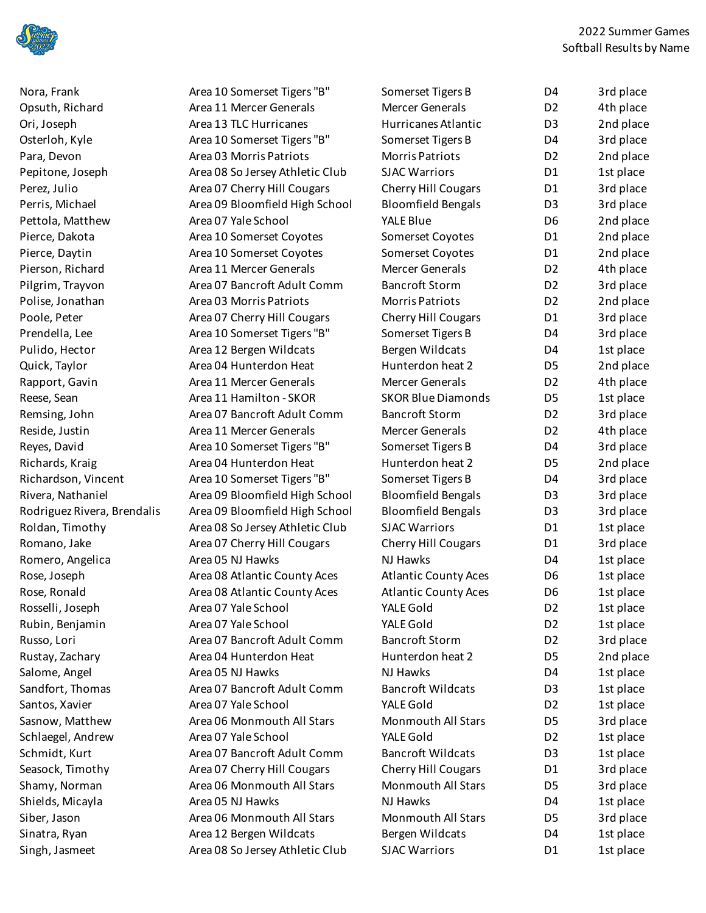

Nora, Frank **Area 10 Somerset Tigers "B"** Area 10 Somerset Tigers "B" Opsuth, Richard Area 11 Mercer Generals Ori, Joseph Area 13 TLC Hurricanes Osterloh, Kyle **Area 10 Somerset Tigers "B"** Area 10 Somerset Tigers "B" Para, Devon Area 03 Morris Patriots Pepitone, Joseph Area 08 So Jersey Athletic Club Perez, Julio **Area 07 Cherry Hill Cougars** Cherry Hill Cougars Perris, Michael **Area 09 Bloomfield High School** 

Pettola, Matthew Area 07 Yale School Pierce, Dakota **Area 10 Somerset Coyotes** Area 20 Somerset Coyotes Pierce, Daytin Area 10 Somerset Coyotes Pierson, Richard Area 11 Mercer Generals Pilgrim, Trayvon Area 07 Bancroft Adult Comm Polise, Jonathan Area 03 Morris Patriots Poole, Peter Area 07 Cherry Hill Cougars Cherry Hill Cougars Prendella, Lee Area 10 Somerset Tigers "B" Pulido, Hector **Area 12 Bergen Wildcats** Bergen Wildcats Quick, Taylor **Area 04 Hunterdon Heat** Area 04 Hunterdon Heat Rapport, Gavin Area 11 Mercer Generals Reese, Sean Area 11 Hamilton - SKOR Remsing, John Area 07 Bancroft Adult Comm Reside, Justin Area 11 Mercer Generals Reyes, David **Area 10 Somerset Tigers "B"** Somerset Tigers "B" Richards, Kraig **Area 04 Hunterdon Heat** Area 04 Hunterdon Heat Richardson, Vincent Area 10 Somerset Tigers "B" Rivera, Nathaniel **Area 09 Bloomfield High School** Rodriguez Rivera, Brendalis Area 09 Bloomfield High School Roldan, Timothy Area 08 So Jersey Athletic Club Romano, Jake Area 07 Cherry Hill Cougars Romero, Angelica Area 05 NJ Hawks Rose, Joseph Area 08 Atlantic County Aces Rose, Ronald Area 08 Atlantic County Aces Rosselli, Joseph Area 07 Yale School Rubin, Benjamin Area 07 Yale School Russo, Lori **Area 07 Bancroft Adult Comm** Rustay, Zachary **Area 04 Hunterdon Heat** Salome, Angel Area 05 NJ Hawks Sandfort, Thomas Area 07 Bancroft Adult Comm Santos, Xavier Area 07 Yale School Sasnow, Matthew Area 06 Monmouth All Stars Schlaegel, Andrew Area 07 Yale School Schmidt, Kurt Area 07 Bancroft Adult Comm Seasock, Timothy **Area 07 Cherry Hill Cougars** Shamy, Norman Area 06 Monmouth All Stars Monmouth All Stars Shields, Micayla Area 05 NJ Hawks Siber, Jason Area 06 Monmouth All Stars Monmouth All Stars Area 06 Monmouth All Stars Sinatra, Ryan **Area 12 Bergen Wildcats** Bergen Wildcats Singh, Jasmeet Area 08 So Jersey Athletic Club

| Somerset Tigers B           | D <sub>4</sub> | 3rd place |
|-----------------------------|----------------|-----------|
| <b>Mercer Generals</b>      | D <sub>2</sub> | 4th place |
| Hurricanes Atlantic         | D <sub>3</sub> | 2nd place |
| Somerset Tigers B           | D4             | 3rd place |
| <b>Morris Patriots</b>      | D <sub>2</sub> | 2nd place |
| <b>SJAC Warriors</b>        | D1             | 1st place |
| <b>Cherry Hill Cougars</b>  | D <sub>1</sub> | 3rd place |
| <b>Bloomfield Bengals</b>   | D <sub>3</sub> | 3rd place |
| <b>YALE Blue</b>            | D6             | 2nd place |
| Somerset Coyotes            | D <sub>1</sub> | 2nd place |
| Somerset Coyotes            | D <sub>1</sub> | 2nd place |
| <b>Mercer Generals</b>      | D <sub>2</sub> | 4th place |
| <b>Bancroft Storm</b>       | D <sub>2</sub> | 3rd place |
| <b>Morris Patriots</b>      | D <sub>2</sub> | 2nd place |
| <b>Cherry Hill Cougars</b>  | D <sub>1</sub> | 3rd place |
| Somerset Tigers B           | D4             | 3rd place |
| Bergen Wildcats             | D <sub>4</sub> | 1st place |
| Hunterdon heat 2            | D <sub>5</sub> | 2nd place |
| Mercer Generals             | D <sub>2</sub> | 4th place |
| <b>SKOR Blue Diamonds</b>   | D5             | 1st place |
| <b>Bancroft Storm</b>       | D <sub>2</sub> | 3rd place |
| <b>Mercer Generals</b>      | D <sub>2</sub> | 4th place |
| Somerset Tigers B           | D <sub>4</sub> | 3rd place |
| Hunterdon heat 2            | D <sub>5</sub> | 2nd place |
| Somerset Tigers B           | D4             | 3rd place |
| <b>Bloomfield Bengals</b>   | D <sub>3</sub> | 3rd place |
| <b>Bloomfield Bengals</b>   | D <sub>3</sub> | 3rd place |
| <b>SJAC Warriors</b>        | D <sub>1</sub> | 1st place |
| <b>Cherry Hill Cougars</b>  | D1             | 3rd place |
| <b>NJ Hawks</b>             | D4             | 1st place |
| <b>Atlantic County Aces</b> | D6             | 1st place |
| <b>Atlantic County Aces</b> | D <sub>6</sub> | 1st place |
| YALE Gold                   | D2             | 1st place |
| YALE Gold                   | D <sub>2</sub> | 1st place |
| <b>Bancroft Storm</b>       | D <sub>2</sub> | 3rd place |
| Hunterdon heat 2            | D5             | 2nd place |
| NJ Hawks                    | D4             | 1st place |
| <b>Bancroft Wildcats</b>    | D <sub>3</sub> | 1st place |
| YALE Gold                   | D <sub>2</sub> | 1st place |
| Monmouth All Stars          | D5             | 3rd place |
| YALE Gold                   | D <sub>2</sub> | 1st place |
| <b>Bancroft Wildcats</b>    | D <sub>3</sub> | 1st place |
| <b>Cherry Hill Cougars</b>  | D1             | 3rd place |
| <b>Monmouth All Stars</b>   | D5             | 3rd place |
| <b>NJ Hawks</b>             | D4             | 1st place |
| Monmouth All Stars          | D5             | 3rd place |
| Bergen Wildcats             | D4             | 1st place |
| <b>SJAC Warriors</b>        | D1             | 1st place |